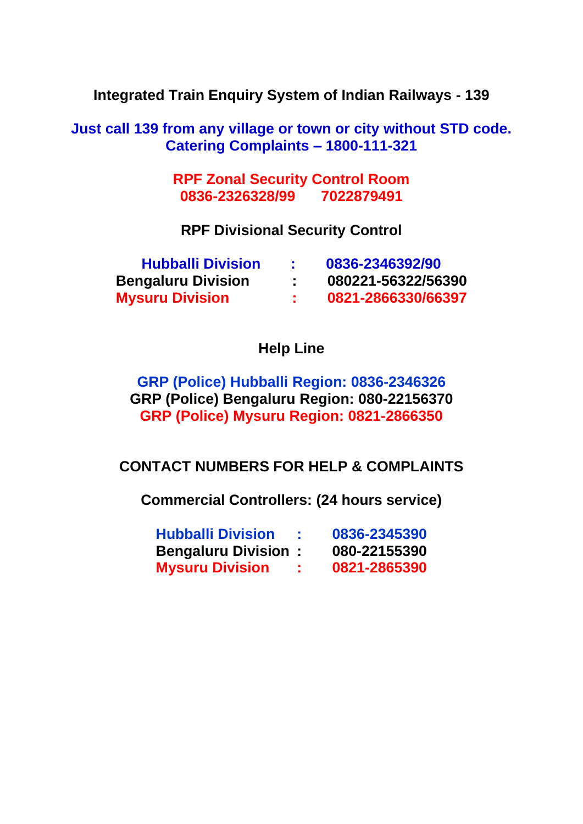**Integrated Train Enquiry System of Indian Railways - 139**

**Just call 139 from any village or town or city without STD code. Catering Complaints – 1800-111-321**

> **RPF Zonal Security Control Room 0836-2326328/99 7022879491**

**RPF Divisional Security Control**

| <b>Hubballi Division</b>  | 0836-2346392/90    |
|---------------------------|--------------------|
| <b>Bengaluru Division</b> | 080221-56322/56390 |
| <b>Mysuru Division</b>    | 0821-2866330/66397 |

**Help Line**

**GRP (Police) Hubballi Region: 0836-2346326 GRP (Police) Bengaluru Region: 080-22156370 GRP (Police) Mysuru Region: 0821-2866350**

**CONTACT NUMBERS FOR HELP & COMPLAINTS**

**Commercial Controllers: (24 hours service)**

| <b>Hubballi Division</b>   | 0836-2345390 |
|----------------------------|--------------|
| <b>Bengaluru Division:</b> | 080-22155390 |
| <b>Mysuru Division</b>     | 0821-2865390 |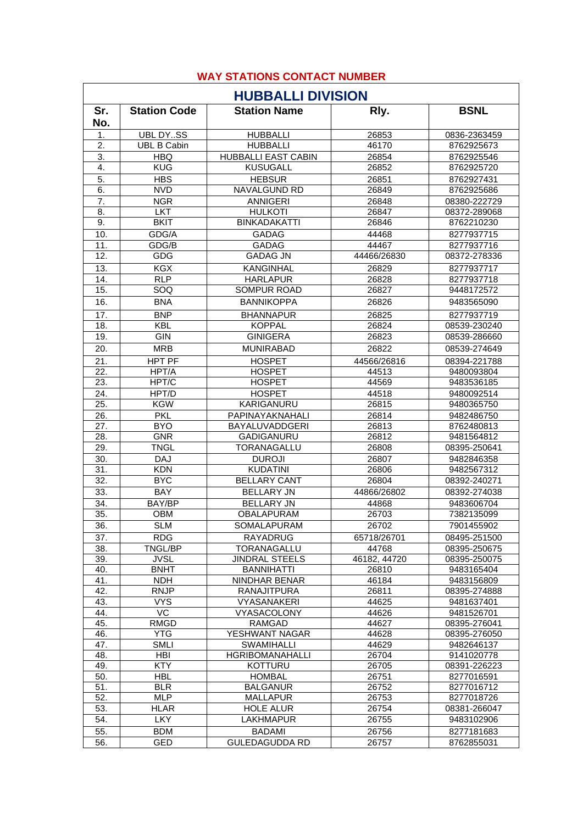| <b>HUBBALLI DIVISION</b> |                           |                                       |                |                            |
|--------------------------|---------------------------|---------------------------------------|----------------|----------------------------|
| Sr.                      | <b>Station Code</b>       | <b>Station Name</b>                   | Rly.           | <b>BSNL</b>                |
| No.                      |                           |                                       |                |                            |
| 1.                       | <b>UBL DYSS</b>           | <b>HUBBALLI</b>                       | 26853          | 0836-2363459               |
| 2.                       | <b>UBL B Cabin</b>        | <b>HUBBALLI</b>                       | 46170          | 8762925673                 |
| 3.                       | <b>HBQ</b>                | <b>HUBBALLI EAST CABIN</b>            | 26854          | 8762925546                 |
| 4.                       | <b>KUG</b>                | <b>KUSUGALL</b>                       | 26852          | 8762925720                 |
| 5.                       | <b>HBS</b>                | <b>HEBSUR</b>                         | 26851          | 8762927431                 |
| 6.                       | <b>NVD</b>                | NAVALGUND RD                          | 26849          | 8762925686                 |
| 7.                       | <b>NGR</b>                | <b>ANNIGERI</b>                       | 26848          | 08380-222729               |
| 8.<br>9.                 | <b>LKT</b><br><b>BKIT</b> | <b>HULKOTI</b><br><b>BINKADAKATTI</b> | 26847<br>26846 | 08372-289068               |
|                          |                           |                                       |                | 8762210230                 |
| 10.<br>11.               | GDG/A<br>GDG/B            | <b>GADAG</b><br><b>GADAG</b>          | 44468<br>44467 | 8277937715<br>8277937716   |
| 12.                      | GDG                       | <b>GADAG JN</b>                       | 44466/26830    | 08372-278336               |
|                          |                           |                                       |                |                            |
| 13.                      | <b>KGX</b>                | <b>KANGINHAL</b>                      | 26829          | 8277937717                 |
| 14.<br>15.               | <b>RLP</b><br>SOQ         | <b>HARLAPUR</b><br><b>SOMPUR ROAD</b> | 26828<br>26827 | 8277937718<br>9448172572   |
| 16.                      | <b>BNA</b>                | <b>BANNIKOPPA</b>                     |                | 9483565090                 |
|                          |                           |                                       | 26826          |                            |
| 17.                      | <b>BNP</b>                | <b>BHANNAPUR</b>                      | 26825          | 8277937719                 |
| 18.                      | <b>KBL</b>                | <b>KOPPAL</b>                         | 26824          | 08539-230240               |
| 19.                      | GIN                       | <b>GINIGERA</b>                       | 26823          | 08539-286660               |
| 20.                      | <b>MRB</b>                | <b>MUNIRABAD</b>                      | 26822          | 08539-274649               |
| 21.                      | <b>HPT PF</b>             | <b>HOSPET</b>                         | 44566/26816    | 08394-221788               |
| 22.                      | HPT/A                     | <b>HOSPET</b>                         | 44513          | 9480093804                 |
| 23.                      | HPT/C                     | <b>HOSPET</b>                         | 44569          | 9483536185                 |
| 24.                      | HPT/D                     | <b>HOSPET</b>                         | 44518          | 9480092514                 |
| 25.                      | <b>KGW</b>                | <b>KARIGANURU</b>                     | 26815          | 9480365750                 |
| 26.<br>27.               | <b>PKL</b><br><b>BYO</b>  | PAPINAYAKNAHALI<br>BAYALUVADDGERI     | 26814<br>26813 | 9482486750<br>8762480813   |
| 28.                      | <b>GNR</b>                | <b>GADIGANURU</b>                     | 26812          | 9481564812                 |
| 29.                      | <b>TNGL</b>               | TORANAGALLU                           | 26808          | 08395-250641               |
| 30.                      | DAJ                       | <b>DUROJI</b>                         | 26807          | 9482846358                 |
| 31.                      | <b>KDN</b>                | <b>KUDATINI</b>                       | 26806          | 9482567312                 |
| 32.                      | <b>BYC</b>                | <b>BELLARY CANT</b>                   | 26804          | 08392-240271               |
| 33.                      | <b>BAY</b>                | <b>BELLARY JN</b>                     | 44866/26802    | 08392-274038               |
| 34.                      | BAY/BP                    | <b>BELLARY JN</b>                     | 44868          | 9483606704                 |
| 35.                      | OBM                       | <b>OBALAPURAM</b>                     | 26703          | 7382135099                 |
| 36.                      | SLM                       | SOMALAPURAM                           | 26702          | 7901455902                 |
| 37.                      | <b>RDG</b>                | <b>RAYADRUG</b>                       | 65718/26701    | 08495-251500               |
| 38.                      | TNGL/BP                   | TORANAGALLU                           | 44768          | 08395-250675               |
| 39.                      | <b>JVSL</b>               | <b>JINDRAL STEELS</b>                 | 46182, 44720   | 08395-250075               |
| 40.                      | <b>BNHT</b>               | <b>BANNIHATTI</b>                     | 26810          | 9483165404                 |
| 41.                      | <b>NDH</b>                | NINDHAR BENAR                         | 46184          | 9483156809                 |
| 42.                      | <b>RNJP</b>               | <b>RANAJITPURA</b>                    | 26811          | 08395-274888               |
| 43.                      | <b>VYS</b>                | VYASANAKERI                           | 44625          | 9481637401                 |
| 44.                      | $\overline{VC}$           | VYASACOLONY                           | 44626          | 9481526701                 |
| 45.                      | <b>RMGD</b>               | <b>RAMGAD</b>                         | 44627          | 08395-276041               |
| 46.                      | <b>YTG</b>                | YESHWANT NAGAR                        | 44628          | 08395-276050               |
| 47.                      | <b>SMLI</b>               | <b>SWAMIHALLI</b>                     | 44629          | 9482646137                 |
| 48.<br>49.               | <b>HBI</b><br><b>KTY</b>  | HGRIBOMANAHALLI<br>KOTTURU            | 26704          | 9141020778                 |
| 50.                      | <b>HBL</b>                | <b>HOMBAL</b>                         | 26705<br>26751 | 08391-226223<br>8277016591 |
| 51.                      | <b>BLR</b>                | <b>BALGANUR</b>                       | 26752          | 8277016712                 |
| 52.                      | <b>MLP</b>                | <b>MALLAPUR</b>                       | 26753          | 8277018726                 |
| 53.                      | HLAR                      | <b>HOLE ALUR</b>                      | 26754          | 08381-266047               |
| 54.                      | <b>LKY</b>                | <b>LAKHMAPUR</b>                      | 26755          | 9483102906                 |
| 55.                      | <b>BDM</b>                | <b>BADAMI</b>                         | 26756          | 8277181683                 |
| 56.                      | <b>GED</b>                | <b>GULEDAGUDDA RD</b>                 | 26757          | 8762855031                 |

## **WAY STATIONS CONTACT NUMBER**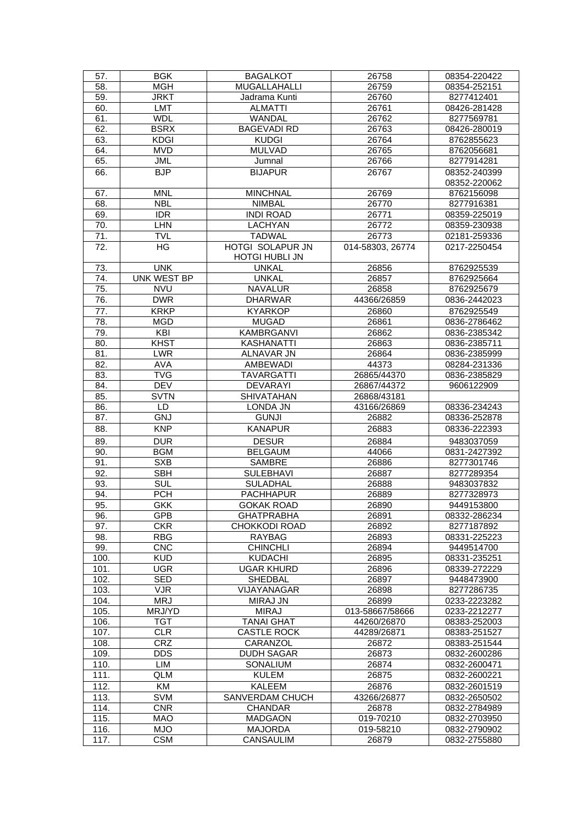| 58.<br><b>MGH</b><br><b>MUGALLAHALLI</b><br>26759<br>08354-252151<br>59.<br><b>JRKT</b><br>26760<br>8277412401<br>Jadrama Kunti<br><b>LMT</b><br><b>ALMATTI</b><br>26761<br>60.<br>08426-281428<br><b>WDL</b><br>WANDAL<br>61.<br>26762<br>8277569781<br><b>BAGEVADI RD</b><br>62.<br><b>BSRX</b><br>26763<br>08426-280019<br>63.<br><b>KDGI</b><br><b>KUDGI</b><br>26764<br>8762855623<br>64.<br><b>MVD</b><br><b>MULVAD</b><br>26765<br>8762056681<br><b>JML</b><br>65.<br>26766<br>8277914281<br>Jumnal<br><b>BJP</b><br><b>BIJAPUR</b><br>08352-240399<br>66.<br>26767<br>08352-220062<br>67.<br><b>MNL</b><br><b>MINCHNAL</b><br>26769<br>8762156098<br><b>NBL</b><br><b>NIMBAL</b><br>68.<br>26770<br>8277916381<br>69.<br><b>IDR</b><br><b>INDI ROAD</b><br>26771<br>08359-225019<br><b>LHN</b><br>70.<br>LACHYAN<br>26772<br>08359-230938<br><b>TADWAL</b><br>26773<br>71.<br>02181-259336<br>TVL<br>HG<br>HOTGI SOLAPUR JN<br>72.<br>014-58303, 26774<br>0217-2250454<br><b>HOTGI HUBLI JN</b><br><b>UNK</b><br><b>UNKAL</b><br>26856<br>73.<br>8762925539<br><b>UNKAL</b><br>74.<br><b>UNK WEST BP</b><br>26857<br>8762925664<br>75.<br><b>NVU</b><br><b>NAVALUR</b><br>26858<br>8762925679<br>76.<br><b>DWR</b><br><b>DHARWAR</b><br>44366/26859<br>0836-2442023<br><b>KRKP</b><br><b>KYARKOP</b><br>77.<br>8762925549<br>26860<br>78.<br><b>MUGAD</b><br><b>MGD</b><br>26861<br>0836-2786462<br>79.<br>KBI<br>KAMBRGANVI<br>26862<br>0836-2385342<br>80.<br><b>KHST</b><br><b>KASHANATTI</b><br>26863<br>0836-2385711<br>81.<br><b>LWR</b><br>ALNAVAR JN<br>26864<br>0836-2385999<br>82.<br><b>AVA</b><br>AMBEWADI<br>44373<br>08284-231336<br>$\overline{\text{TVG}}$<br>83.<br><b>TAVARGATTI</b><br>26865/44370<br>0836-2385829<br><b>DEV</b><br>84.<br><b>DEVARAYI</b><br>26867/44372<br>9606122909<br>85.<br><b>SVTN</b><br><b>SHIVATAHAN</b><br>26868/43181<br>86.<br>LD.<br>LONDA JN<br>43166/26869<br>08336-234243<br><b>GUNJI</b><br>87.<br><b>GNJ</b><br>26882<br>08336-252878<br>88.<br><b>KNP</b><br><b>KANAPUR</b><br>26883<br>08336-222393<br><b>DESUR</b><br><b>DUR</b><br>89.<br>26884<br>9483037059<br><b>BGM</b><br>90.<br><b>BELGAUM</b><br>44066<br>0831-2427392<br><b>SAMBRE</b><br>91.<br><b>SXB</b><br>26886<br>8277301746<br>92.<br><b>SBH</b><br><b>SULEBHAVI</b><br>26887<br>8277289354<br>93.<br><b>SUL</b><br><b>SULADHAL</b><br>26888<br>9483037832<br><b>PACHHAPUR</b><br>8277328973<br>94.<br><b>PCH</b><br>26889<br>95.<br><b>GKK</b><br><b>GOKAK ROAD</b><br>26890<br>9449153800<br><b>GPB</b><br>96.<br><b>GHATPRABHA</b><br>26891<br>08332-286234<br>97.<br><b>CKR</b><br><b>CHOKKODI ROAD</b><br>26892<br>8277187892<br>98.<br><b>RBG</b><br><b>RAYBAG</b><br>08331-225223<br>26893<br>99.<br><b>CNC</b><br><b>CHINCHLI</b><br>26894<br>9449514700<br><b>KUD</b><br>100.<br><b>KUDACHI</b><br>26895<br>08331-235251<br><b>UGR</b><br>101.<br><b>UGAR KHURD</b><br>26896<br>08339-272229<br><b>SED</b><br>102.<br>SHEDBAL<br>26897<br>9448473900<br>103.<br><b>VJR</b><br>VIJAYANAGAR<br>26898<br>8277286735<br>104.<br><b>MRJ</b><br>MIRAJ JN<br>26899<br>0233-2223282<br><b>MIRAJ</b><br>105.<br>MRJ/YD<br>013-58667/58666<br>0233-2212277<br>106.<br><b>TGT</b><br><b>TANAI GHAT</b><br>44260/26870<br>08383-252003<br>107.<br><b>CLR</b><br><b>CASTLE ROCK</b><br>44289/26871<br>08383-251527<br><b>CRZ</b><br>108.<br>CARANZOL<br>26872<br>08383-251544<br>109.<br><b>DDS</b><br><b>DUDH SAGAR</b><br>26873<br>0832-2600286<br>110.<br>LIM<br>SONALIUM<br>26874<br>0832-2600471<br>111.<br><b>QLM</b><br><b>KULEM</b><br>26875<br>0832-2600221<br>112.<br>KM<br><b>KALEEM</b><br>26876<br>0832-2601519<br>113.<br><b>SVM</b><br>SANVERDAM CHUCH<br>43266/26877<br>0832-2650502<br><b>CNR</b><br>114.<br><b>CHANDAR</b><br>26878<br>0832-2784989<br><b>MADGAON</b><br>115.<br><b>MAO</b><br>019-70210<br>0832-2703950<br>116.<br><b>MJO</b><br><b>MAJORDA</b><br>019-58210<br>0832-2790902<br><b>CSM</b><br>117.<br>CANSAULIM<br>26879<br>0832-2755880 | 57. | <b>BGK</b> | <b>BAGALKOT</b> | 26758 | 08354-220422 |
|----------------------------------------------------------------------------------------------------------------------------------------------------------------------------------------------------------------------------------------------------------------------------------------------------------------------------------------------------------------------------------------------------------------------------------------------------------------------------------------------------------------------------------------------------------------------------------------------------------------------------------------------------------------------------------------------------------------------------------------------------------------------------------------------------------------------------------------------------------------------------------------------------------------------------------------------------------------------------------------------------------------------------------------------------------------------------------------------------------------------------------------------------------------------------------------------------------------------------------------------------------------------------------------------------------------------------------------------------------------------------------------------------------------------------------------------------------------------------------------------------------------------------------------------------------------------------------------------------------------------------------------------------------------------------------------------------------------------------------------------------------------------------------------------------------------------------------------------------------------------------------------------------------------------------------------------------------------------------------------------------------------------------------------------------------------------------------------------------------------------------------------------------------------------------------------------------------------------------------------------------------------------------------------------------------------------------------------------------------------------------------------------------------------------------------------------------------------------------------------------------------------------------------------------------------------------------------------------------------------------------------------------------------------------------------------------------------------------------------------------------------------------------------------------------------------------------------------------------------------------------------------------------------------------------------------------------------------------------------------------------------------------------------------------------------------------------------------------------------------------------------------------------------------------------------------------------------------------------------------------------------------------------------------------------------------------------------------------------------------------------------------------------------------------------------------------------------------------------------------------------------------------------------------------------------------------------------------------------------------------------------------------------------------------------------------------------------------------------------------------------------------------------------------------------------------------------------------------------------------------------------------------------------------------------------------------------------------------------------------------------------|-----|------------|-----------------|-------|--------------|
|                                                                                                                                                                                                                                                                                                                                                                                                                                                                                                                                                                                                                                                                                                                                                                                                                                                                                                                                                                                                                                                                                                                                                                                                                                                                                                                                                                                                                                                                                                                                                                                                                                                                                                                                                                                                                                                                                                                                                                                                                                                                                                                                                                                                                                                                                                                                                                                                                                                                                                                                                                                                                                                                                                                                                                                                                                                                                                                                                                                                                                                                                                                                                                                                                                                                                                                                                                                                                                                                                                                                                                                                                                                                                                                                                                                                                                                                                                                                                                                                          |     |            |                 |       |              |
|                                                                                                                                                                                                                                                                                                                                                                                                                                                                                                                                                                                                                                                                                                                                                                                                                                                                                                                                                                                                                                                                                                                                                                                                                                                                                                                                                                                                                                                                                                                                                                                                                                                                                                                                                                                                                                                                                                                                                                                                                                                                                                                                                                                                                                                                                                                                                                                                                                                                                                                                                                                                                                                                                                                                                                                                                                                                                                                                                                                                                                                                                                                                                                                                                                                                                                                                                                                                                                                                                                                                                                                                                                                                                                                                                                                                                                                                                                                                                                                                          |     |            |                 |       |              |
|                                                                                                                                                                                                                                                                                                                                                                                                                                                                                                                                                                                                                                                                                                                                                                                                                                                                                                                                                                                                                                                                                                                                                                                                                                                                                                                                                                                                                                                                                                                                                                                                                                                                                                                                                                                                                                                                                                                                                                                                                                                                                                                                                                                                                                                                                                                                                                                                                                                                                                                                                                                                                                                                                                                                                                                                                                                                                                                                                                                                                                                                                                                                                                                                                                                                                                                                                                                                                                                                                                                                                                                                                                                                                                                                                                                                                                                                                                                                                                                                          |     |            |                 |       |              |
|                                                                                                                                                                                                                                                                                                                                                                                                                                                                                                                                                                                                                                                                                                                                                                                                                                                                                                                                                                                                                                                                                                                                                                                                                                                                                                                                                                                                                                                                                                                                                                                                                                                                                                                                                                                                                                                                                                                                                                                                                                                                                                                                                                                                                                                                                                                                                                                                                                                                                                                                                                                                                                                                                                                                                                                                                                                                                                                                                                                                                                                                                                                                                                                                                                                                                                                                                                                                                                                                                                                                                                                                                                                                                                                                                                                                                                                                                                                                                                                                          |     |            |                 |       |              |
|                                                                                                                                                                                                                                                                                                                                                                                                                                                                                                                                                                                                                                                                                                                                                                                                                                                                                                                                                                                                                                                                                                                                                                                                                                                                                                                                                                                                                                                                                                                                                                                                                                                                                                                                                                                                                                                                                                                                                                                                                                                                                                                                                                                                                                                                                                                                                                                                                                                                                                                                                                                                                                                                                                                                                                                                                                                                                                                                                                                                                                                                                                                                                                                                                                                                                                                                                                                                                                                                                                                                                                                                                                                                                                                                                                                                                                                                                                                                                                                                          |     |            |                 |       |              |
|                                                                                                                                                                                                                                                                                                                                                                                                                                                                                                                                                                                                                                                                                                                                                                                                                                                                                                                                                                                                                                                                                                                                                                                                                                                                                                                                                                                                                                                                                                                                                                                                                                                                                                                                                                                                                                                                                                                                                                                                                                                                                                                                                                                                                                                                                                                                                                                                                                                                                                                                                                                                                                                                                                                                                                                                                                                                                                                                                                                                                                                                                                                                                                                                                                                                                                                                                                                                                                                                                                                                                                                                                                                                                                                                                                                                                                                                                                                                                                                                          |     |            |                 |       |              |
|                                                                                                                                                                                                                                                                                                                                                                                                                                                                                                                                                                                                                                                                                                                                                                                                                                                                                                                                                                                                                                                                                                                                                                                                                                                                                                                                                                                                                                                                                                                                                                                                                                                                                                                                                                                                                                                                                                                                                                                                                                                                                                                                                                                                                                                                                                                                                                                                                                                                                                                                                                                                                                                                                                                                                                                                                                                                                                                                                                                                                                                                                                                                                                                                                                                                                                                                                                                                                                                                                                                                                                                                                                                                                                                                                                                                                                                                                                                                                                                                          |     |            |                 |       |              |
|                                                                                                                                                                                                                                                                                                                                                                                                                                                                                                                                                                                                                                                                                                                                                                                                                                                                                                                                                                                                                                                                                                                                                                                                                                                                                                                                                                                                                                                                                                                                                                                                                                                                                                                                                                                                                                                                                                                                                                                                                                                                                                                                                                                                                                                                                                                                                                                                                                                                                                                                                                                                                                                                                                                                                                                                                                                                                                                                                                                                                                                                                                                                                                                                                                                                                                                                                                                                                                                                                                                                                                                                                                                                                                                                                                                                                                                                                                                                                                                                          |     |            |                 |       |              |
|                                                                                                                                                                                                                                                                                                                                                                                                                                                                                                                                                                                                                                                                                                                                                                                                                                                                                                                                                                                                                                                                                                                                                                                                                                                                                                                                                                                                                                                                                                                                                                                                                                                                                                                                                                                                                                                                                                                                                                                                                                                                                                                                                                                                                                                                                                                                                                                                                                                                                                                                                                                                                                                                                                                                                                                                                                                                                                                                                                                                                                                                                                                                                                                                                                                                                                                                                                                                                                                                                                                                                                                                                                                                                                                                                                                                                                                                                                                                                                                                          |     |            |                 |       |              |
|                                                                                                                                                                                                                                                                                                                                                                                                                                                                                                                                                                                                                                                                                                                                                                                                                                                                                                                                                                                                                                                                                                                                                                                                                                                                                                                                                                                                                                                                                                                                                                                                                                                                                                                                                                                                                                                                                                                                                                                                                                                                                                                                                                                                                                                                                                                                                                                                                                                                                                                                                                                                                                                                                                                                                                                                                                                                                                                                                                                                                                                                                                                                                                                                                                                                                                                                                                                                                                                                                                                                                                                                                                                                                                                                                                                                                                                                                                                                                                                                          |     |            |                 |       |              |
|                                                                                                                                                                                                                                                                                                                                                                                                                                                                                                                                                                                                                                                                                                                                                                                                                                                                                                                                                                                                                                                                                                                                                                                                                                                                                                                                                                                                                                                                                                                                                                                                                                                                                                                                                                                                                                                                                                                                                                                                                                                                                                                                                                                                                                                                                                                                                                                                                                                                                                                                                                                                                                                                                                                                                                                                                                                                                                                                                                                                                                                                                                                                                                                                                                                                                                                                                                                                                                                                                                                                                                                                                                                                                                                                                                                                                                                                                                                                                                                                          |     |            |                 |       |              |
|                                                                                                                                                                                                                                                                                                                                                                                                                                                                                                                                                                                                                                                                                                                                                                                                                                                                                                                                                                                                                                                                                                                                                                                                                                                                                                                                                                                                                                                                                                                                                                                                                                                                                                                                                                                                                                                                                                                                                                                                                                                                                                                                                                                                                                                                                                                                                                                                                                                                                                                                                                                                                                                                                                                                                                                                                                                                                                                                                                                                                                                                                                                                                                                                                                                                                                                                                                                                                                                                                                                                                                                                                                                                                                                                                                                                                                                                                                                                                                                                          |     |            |                 |       |              |
|                                                                                                                                                                                                                                                                                                                                                                                                                                                                                                                                                                                                                                                                                                                                                                                                                                                                                                                                                                                                                                                                                                                                                                                                                                                                                                                                                                                                                                                                                                                                                                                                                                                                                                                                                                                                                                                                                                                                                                                                                                                                                                                                                                                                                                                                                                                                                                                                                                                                                                                                                                                                                                                                                                                                                                                                                                                                                                                                                                                                                                                                                                                                                                                                                                                                                                                                                                                                                                                                                                                                                                                                                                                                                                                                                                                                                                                                                                                                                                                                          |     |            |                 |       |              |
|                                                                                                                                                                                                                                                                                                                                                                                                                                                                                                                                                                                                                                                                                                                                                                                                                                                                                                                                                                                                                                                                                                                                                                                                                                                                                                                                                                                                                                                                                                                                                                                                                                                                                                                                                                                                                                                                                                                                                                                                                                                                                                                                                                                                                                                                                                                                                                                                                                                                                                                                                                                                                                                                                                                                                                                                                                                                                                                                                                                                                                                                                                                                                                                                                                                                                                                                                                                                                                                                                                                                                                                                                                                                                                                                                                                                                                                                                                                                                                                                          |     |            |                 |       |              |
|                                                                                                                                                                                                                                                                                                                                                                                                                                                                                                                                                                                                                                                                                                                                                                                                                                                                                                                                                                                                                                                                                                                                                                                                                                                                                                                                                                                                                                                                                                                                                                                                                                                                                                                                                                                                                                                                                                                                                                                                                                                                                                                                                                                                                                                                                                                                                                                                                                                                                                                                                                                                                                                                                                                                                                                                                                                                                                                                                                                                                                                                                                                                                                                                                                                                                                                                                                                                                                                                                                                                                                                                                                                                                                                                                                                                                                                                                                                                                                                                          |     |            |                 |       |              |
|                                                                                                                                                                                                                                                                                                                                                                                                                                                                                                                                                                                                                                                                                                                                                                                                                                                                                                                                                                                                                                                                                                                                                                                                                                                                                                                                                                                                                                                                                                                                                                                                                                                                                                                                                                                                                                                                                                                                                                                                                                                                                                                                                                                                                                                                                                                                                                                                                                                                                                                                                                                                                                                                                                                                                                                                                                                                                                                                                                                                                                                                                                                                                                                                                                                                                                                                                                                                                                                                                                                                                                                                                                                                                                                                                                                                                                                                                                                                                                                                          |     |            |                 |       |              |
|                                                                                                                                                                                                                                                                                                                                                                                                                                                                                                                                                                                                                                                                                                                                                                                                                                                                                                                                                                                                                                                                                                                                                                                                                                                                                                                                                                                                                                                                                                                                                                                                                                                                                                                                                                                                                                                                                                                                                                                                                                                                                                                                                                                                                                                                                                                                                                                                                                                                                                                                                                                                                                                                                                                                                                                                                                                                                                                                                                                                                                                                                                                                                                                                                                                                                                                                                                                                                                                                                                                                                                                                                                                                                                                                                                                                                                                                                                                                                                                                          |     |            |                 |       |              |
|                                                                                                                                                                                                                                                                                                                                                                                                                                                                                                                                                                                                                                                                                                                                                                                                                                                                                                                                                                                                                                                                                                                                                                                                                                                                                                                                                                                                                                                                                                                                                                                                                                                                                                                                                                                                                                                                                                                                                                                                                                                                                                                                                                                                                                                                                                                                                                                                                                                                                                                                                                                                                                                                                                                                                                                                                                                                                                                                                                                                                                                                                                                                                                                                                                                                                                                                                                                                                                                                                                                                                                                                                                                                                                                                                                                                                                                                                                                                                                                                          |     |            |                 |       |              |
|                                                                                                                                                                                                                                                                                                                                                                                                                                                                                                                                                                                                                                                                                                                                                                                                                                                                                                                                                                                                                                                                                                                                                                                                                                                                                                                                                                                                                                                                                                                                                                                                                                                                                                                                                                                                                                                                                                                                                                                                                                                                                                                                                                                                                                                                                                                                                                                                                                                                                                                                                                                                                                                                                                                                                                                                                                                                                                                                                                                                                                                                                                                                                                                                                                                                                                                                                                                                                                                                                                                                                                                                                                                                                                                                                                                                                                                                                                                                                                                                          |     |            |                 |       |              |
|                                                                                                                                                                                                                                                                                                                                                                                                                                                                                                                                                                                                                                                                                                                                                                                                                                                                                                                                                                                                                                                                                                                                                                                                                                                                                                                                                                                                                                                                                                                                                                                                                                                                                                                                                                                                                                                                                                                                                                                                                                                                                                                                                                                                                                                                                                                                                                                                                                                                                                                                                                                                                                                                                                                                                                                                                                                                                                                                                                                                                                                                                                                                                                                                                                                                                                                                                                                                                                                                                                                                                                                                                                                                                                                                                                                                                                                                                                                                                                                                          |     |            |                 |       |              |
|                                                                                                                                                                                                                                                                                                                                                                                                                                                                                                                                                                                                                                                                                                                                                                                                                                                                                                                                                                                                                                                                                                                                                                                                                                                                                                                                                                                                                                                                                                                                                                                                                                                                                                                                                                                                                                                                                                                                                                                                                                                                                                                                                                                                                                                                                                                                                                                                                                                                                                                                                                                                                                                                                                                                                                                                                                                                                                                                                                                                                                                                                                                                                                                                                                                                                                                                                                                                                                                                                                                                                                                                                                                                                                                                                                                                                                                                                                                                                                                                          |     |            |                 |       |              |
|                                                                                                                                                                                                                                                                                                                                                                                                                                                                                                                                                                                                                                                                                                                                                                                                                                                                                                                                                                                                                                                                                                                                                                                                                                                                                                                                                                                                                                                                                                                                                                                                                                                                                                                                                                                                                                                                                                                                                                                                                                                                                                                                                                                                                                                                                                                                                                                                                                                                                                                                                                                                                                                                                                                                                                                                                                                                                                                                                                                                                                                                                                                                                                                                                                                                                                                                                                                                                                                                                                                                                                                                                                                                                                                                                                                                                                                                                                                                                                                                          |     |            |                 |       |              |
|                                                                                                                                                                                                                                                                                                                                                                                                                                                                                                                                                                                                                                                                                                                                                                                                                                                                                                                                                                                                                                                                                                                                                                                                                                                                                                                                                                                                                                                                                                                                                                                                                                                                                                                                                                                                                                                                                                                                                                                                                                                                                                                                                                                                                                                                                                                                                                                                                                                                                                                                                                                                                                                                                                                                                                                                                                                                                                                                                                                                                                                                                                                                                                                                                                                                                                                                                                                                                                                                                                                                                                                                                                                                                                                                                                                                                                                                                                                                                                                                          |     |            |                 |       |              |
|                                                                                                                                                                                                                                                                                                                                                                                                                                                                                                                                                                                                                                                                                                                                                                                                                                                                                                                                                                                                                                                                                                                                                                                                                                                                                                                                                                                                                                                                                                                                                                                                                                                                                                                                                                                                                                                                                                                                                                                                                                                                                                                                                                                                                                                                                                                                                                                                                                                                                                                                                                                                                                                                                                                                                                                                                                                                                                                                                                                                                                                                                                                                                                                                                                                                                                                                                                                                                                                                                                                                                                                                                                                                                                                                                                                                                                                                                                                                                                                                          |     |            |                 |       |              |
|                                                                                                                                                                                                                                                                                                                                                                                                                                                                                                                                                                                                                                                                                                                                                                                                                                                                                                                                                                                                                                                                                                                                                                                                                                                                                                                                                                                                                                                                                                                                                                                                                                                                                                                                                                                                                                                                                                                                                                                                                                                                                                                                                                                                                                                                                                                                                                                                                                                                                                                                                                                                                                                                                                                                                                                                                                                                                                                                                                                                                                                                                                                                                                                                                                                                                                                                                                                                                                                                                                                                                                                                                                                                                                                                                                                                                                                                                                                                                                                                          |     |            |                 |       |              |
|                                                                                                                                                                                                                                                                                                                                                                                                                                                                                                                                                                                                                                                                                                                                                                                                                                                                                                                                                                                                                                                                                                                                                                                                                                                                                                                                                                                                                                                                                                                                                                                                                                                                                                                                                                                                                                                                                                                                                                                                                                                                                                                                                                                                                                                                                                                                                                                                                                                                                                                                                                                                                                                                                                                                                                                                                                                                                                                                                                                                                                                                                                                                                                                                                                                                                                                                                                                                                                                                                                                                                                                                                                                                                                                                                                                                                                                                                                                                                                                                          |     |            |                 |       |              |
|                                                                                                                                                                                                                                                                                                                                                                                                                                                                                                                                                                                                                                                                                                                                                                                                                                                                                                                                                                                                                                                                                                                                                                                                                                                                                                                                                                                                                                                                                                                                                                                                                                                                                                                                                                                                                                                                                                                                                                                                                                                                                                                                                                                                                                                                                                                                                                                                                                                                                                                                                                                                                                                                                                                                                                                                                                                                                                                                                                                                                                                                                                                                                                                                                                                                                                                                                                                                                                                                                                                                                                                                                                                                                                                                                                                                                                                                                                                                                                                                          |     |            |                 |       |              |
|                                                                                                                                                                                                                                                                                                                                                                                                                                                                                                                                                                                                                                                                                                                                                                                                                                                                                                                                                                                                                                                                                                                                                                                                                                                                                                                                                                                                                                                                                                                                                                                                                                                                                                                                                                                                                                                                                                                                                                                                                                                                                                                                                                                                                                                                                                                                                                                                                                                                                                                                                                                                                                                                                                                                                                                                                                                                                                                                                                                                                                                                                                                                                                                                                                                                                                                                                                                                                                                                                                                                                                                                                                                                                                                                                                                                                                                                                                                                                                                                          |     |            |                 |       |              |
|                                                                                                                                                                                                                                                                                                                                                                                                                                                                                                                                                                                                                                                                                                                                                                                                                                                                                                                                                                                                                                                                                                                                                                                                                                                                                                                                                                                                                                                                                                                                                                                                                                                                                                                                                                                                                                                                                                                                                                                                                                                                                                                                                                                                                                                                                                                                                                                                                                                                                                                                                                                                                                                                                                                                                                                                                                                                                                                                                                                                                                                                                                                                                                                                                                                                                                                                                                                                                                                                                                                                                                                                                                                                                                                                                                                                                                                                                                                                                                                                          |     |            |                 |       |              |
|                                                                                                                                                                                                                                                                                                                                                                                                                                                                                                                                                                                                                                                                                                                                                                                                                                                                                                                                                                                                                                                                                                                                                                                                                                                                                                                                                                                                                                                                                                                                                                                                                                                                                                                                                                                                                                                                                                                                                                                                                                                                                                                                                                                                                                                                                                                                                                                                                                                                                                                                                                                                                                                                                                                                                                                                                                                                                                                                                                                                                                                                                                                                                                                                                                                                                                                                                                                                                                                                                                                                                                                                                                                                                                                                                                                                                                                                                                                                                                                                          |     |            |                 |       |              |
|                                                                                                                                                                                                                                                                                                                                                                                                                                                                                                                                                                                                                                                                                                                                                                                                                                                                                                                                                                                                                                                                                                                                                                                                                                                                                                                                                                                                                                                                                                                                                                                                                                                                                                                                                                                                                                                                                                                                                                                                                                                                                                                                                                                                                                                                                                                                                                                                                                                                                                                                                                                                                                                                                                                                                                                                                                                                                                                                                                                                                                                                                                                                                                                                                                                                                                                                                                                                                                                                                                                                                                                                                                                                                                                                                                                                                                                                                                                                                                                                          |     |            |                 |       |              |
|                                                                                                                                                                                                                                                                                                                                                                                                                                                                                                                                                                                                                                                                                                                                                                                                                                                                                                                                                                                                                                                                                                                                                                                                                                                                                                                                                                                                                                                                                                                                                                                                                                                                                                                                                                                                                                                                                                                                                                                                                                                                                                                                                                                                                                                                                                                                                                                                                                                                                                                                                                                                                                                                                                                                                                                                                                                                                                                                                                                                                                                                                                                                                                                                                                                                                                                                                                                                                                                                                                                                                                                                                                                                                                                                                                                                                                                                                                                                                                                                          |     |            |                 |       |              |
|                                                                                                                                                                                                                                                                                                                                                                                                                                                                                                                                                                                                                                                                                                                                                                                                                                                                                                                                                                                                                                                                                                                                                                                                                                                                                                                                                                                                                                                                                                                                                                                                                                                                                                                                                                                                                                                                                                                                                                                                                                                                                                                                                                                                                                                                                                                                                                                                                                                                                                                                                                                                                                                                                                                                                                                                                                                                                                                                                                                                                                                                                                                                                                                                                                                                                                                                                                                                                                                                                                                                                                                                                                                                                                                                                                                                                                                                                                                                                                                                          |     |            |                 |       |              |
|                                                                                                                                                                                                                                                                                                                                                                                                                                                                                                                                                                                                                                                                                                                                                                                                                                                                                                                                                                                                                                                                                                                                                                                                                                                                                                                                                                                                                                                                                                                                                                                                                                                                                                                                                                                                                                                                                                                                                                                                                                                                                                                                                                                                                                                                                                                                                                                                                                                                                                                                                                                                                                                                                                                                                                                                                                                                                                                                                                                                                                                                                                                                                                                                                                                                                                                                                                                                                                                                                                                                                                                                                                                                                                                                                                                                                                                                                                                                                                                                          |     |            |                 |       |              |
|                                                                                                                                                                                                                                                                                                                                                                                                                                                                                                                                                                                                                                                                                                                                                                                                                                                                                                                                                                                                                                                                                                                                                                                                                                                                                                                                                                                                                                                                                                                                                                                                                                                                                                                                                                                                                                                                                                                                                                                                                                                                                                                                                                                                                                                                                                                                                                                                                                                                                                                                                                                                                                                                                                                                                                                                                                                                                                                                                                                                                                                                                                                                                                                                                                                                                                                                                                                                                                                                                                                                                                                                                                                                                                                                                                                                                                                                                                                                                                                                          |     |            |                 |       |              |
|                                                                                                                                                                                                                                                                                                                                                                                                                                                                                                                                                                                                                                                                                                                                                                                                                                                                                                                                                                                                                                                                                                                                                                                                                                                                                                                                                                                                                                                                                                                                                                                                                                                                                                                                                                                                                                                                                                                                                                                                                                                                                                                                                                                                                                                                                                                                                                                                                                                                                                                                                                                                                                                                                                                                                                                                                                                                                                                                                                                                                                                                                                                                                                                                                                                                                                                                                                                                                                                                                                                                                                                                                                                                                                                                                                                                                                                                                                                                                                                                          |     |            |                 |       |              |
|                                                                                                                                                                                                                                                                                                                                                                                                                                                                                                                                                                                                                                                                                                                                                                                                                                                                                                                                                                                                                                                                                                                                                                                                                                                                                                                                                                                                                                                                                                                                                                                                                                                                                                                                                                                                                                                                                                                                                                                                                                                                                                                                                                                                                                                                                                                                                                                                                                                                                                                                                                                                                                                                                                                                                                                                                                                                                                                                                                                                                                                                                                                                                                                                                                                                                                                                                                                                                                                                                                                                                                                                                                                                                                                                                                                                                                                                                                                                                                                                          |     |            |                 |       |              |
|                                                                                                                                                                                                                                                                                                                                                                                                                                                                                                                                                                                                                                                                                                                                                                                                                                                                                                                                                                                                                                                                                                                                                                                                                                                                                                                                                                                                                                                                                                                                                                                                                                                                                                                                                                                                                                                                                                                                                                                                                                                                                                                                                                                                                                                                                                                                                                                                                                                                                                                                                                                                                                                                                                                                                                                                                                                                                                                                                                                                                                                                                                                                                                                                                                                                                                                                                                                                                                                                                                                                                                                                                                                                                                                                                                                                                                                                                                                                                                                                          |     |            |                 |       |              |
|                                                                                                                                                                                                                                                                                                                                                                                                                                                                                                                                                                                                                                                                                                                                                                                                                                                                                                                                                                                                                                                                                                                                                                                                                                                                                                                                                                                                                                                                                                                                                                                                                                                                                                                                                                                                                                                                                                                                                                                                                                                                                                                                                                                                                                                                                                                                                                                                                                                                                                                                                                                                                                                                                                                                                                                                                                                                                                                                                                                                                                                                                                                                                                                                                                                                                                                                                                                                                                                                                                                                                                                                                                                                                                                                                                                                                                                                                                                                                                                                          |     |            |                 |       |              |
|                                                                                                                                                                                                                                                                                                                                                                                                                                                                                                                                                                                                                                                                                                                                                                                                                                                                                                                                                                                                                                                                                                                                                                                                                                                                                                                                                                                                                                                                                                                                                                                                                                                                                                                                                                                                                                                                                                                                                                                                                                                                                                                                                                                                                                                                                                                                                                                                                                                                                                                                                                                                                                                                                                                                                                                                                                                                                                                                                                                                                                                                                                                                                                                                                                                                                                                                                                                                                                                                                                                                                                                                                                                                                                                                                                                                                                                                                                                                                                                                          |     |            |                 |       |              |
|                                                                                                                                                                                                                                                                                                                                                                                                                                                                                                                                                                                                                                                                                                                                                                                                                                                                                                                                                                                                                                                                                                                                                                                                                                                                                                                                                                                                                                                                                                                                                                                                                                                                                                                                                                                                                                                                                                                                                                                                                                                                                                                                                                                                                                                                                                                                                                                                                                                                                                                                                                                                                                                                                                                                                                                                                                                                                                                                                                                                                                                                                                                                                                                                                                                                                                                                                                                                                                                                                                                                                                                                                                                                                                                                                                                                                                                                                                                                                                                                          |     |            |                 |       |              |
|                                                                                                                                                                                                                                                                                                                                                                                                                                                                                                                                                                                                                                                                                                                                                                                                                                                                                                                                                                                                                                                                                                                                                                                                                                                                                                                                                                                                                                                                                                                                                                                                                                                                                                                                                                                                                                                                                                                                                                                                                                                                                                                                                                                                                                                                                                                                                                                                                                                                                                                                                                                                                                                                                                                                                                                                                                                                                                                                                                                                                                                                                                                                                                                                                                                                                                                                                                                                                                                                                                                                                                                                                                                                                                                                                                                                                                                                                                                                                                                                          |     |            |                 |       |              |
|                                                                                                                                                                                                                                                                                                                                                                                                                                                                                                                                                                                                                                                                                                                                                                                                                                                                                                                                                                                                                                                                                                                                                                                                                                                                                                                                                                                                                                                                                                                                                                                                                                                                                                                                                                                                                                                                                                                                                                                                                                                                                                                                                                                                                                                                                                                                                                                                                                                                                                                                                                                                                                                                                                                                                                                                                                                                                                                                                                                                                                                                                                                                                                                                                                                                                                                                                                                                                                                                                                                                                                                                                                                                                                                                                                                                                                                                                                                                                                                                          |     |            |                 |       |              |
|                                                                                                                                                                                                                                                                                                                                                                                                                                                                                                                                                                                                                                                                                                                                                                                                                                                                                                                                                                                                                                                                                                                                                                                                                                                                                                                                                                                                                                                                                                                                                                                                                                                                                                                                                                                                                                                                                                                                                                                                                                                                                                                                                                                                                                                                                                                                                                                                                                                                                                                                                                                                                                                                                                                                                                                                                                                                                                                                                                                                                                                                                                                                                                                                                                                                                                                                                                                                                                                                                                                                                                                                                                                                                                                                                                                                                                                                                                                                                                                                          |     |            |                 |       |              |
|                                                                                                                                                                                                                                                                                                                                                                                                                                                                                                                                                                                                                                                                                                                                                                                                                                                                                                                                                                                                                                                                                                                                                                                                                                                                                                                                                                                                                                                                                                                                                                                                                                                                                                                                                                                                                                                                                                                                                                                                                                                                                                                                                                                                                                                                                                                                                                                                                                                                                                                                                                                                                                                                                                                                                                                                                                                                                                                                                                                                                                                                                                                                                                                                                                                                                                                                                                                                                                                                                                                                                                                                                                                                                                                                                                                                                                                                                                                                                                                                          |     |            |                 |       |              |
|                                                                                                                                                                                                                                                                                                                                                                                                                                                                                                                                                                                                                                                                                                                                                                                                                                                                                                                                                                                                                                                                                                                                                                                                                                                                                                                                                                                                                                                                                                                                                                                                                                                                                                                                                                                                                                                                                                                                                                                                                                                                                                                                                                                                                                                                                                                                                                                                                                                                                                                                                                                                                                                                                                                                                                                                                                                                                                                                                                                                                                                                                                                                                                                                                                                                                                                                                                                                                                                                                                                                                                                                                                                                                                                                                                                                                                                                                                                                                                                                          |     |            |                 |       |              |
|                                                                                                                                                                                                                                                                                                                                                                                                                                                                                                                                                                                                                                                                                                                                                                                                                                                                                                                                                                                                                                                                                                                                                                                                                                                                                                                                                                                                                                                                                                                                                                                                                                                                                                                                                                                                                                                                                                                                                                                                                                                                                                                                                                                                                                                                                                                                                                                                                                                                                                                                                                                                                                                                                                                                                                                                                                                                                                                                                                                                                                                                                                                                                                                                                                                                                                                                                                                                                                                                                                                                                                                                                                                                                                                                                                                                                                                                                                                                                                                                          |     |            |                 |       |              |
|                                                                                                                                                                                                                                                                                                                                                                                                                                                                                                                                                                                                                                                                                                                                                                                                                                                                                                                                                                                                                                                                                                                                                                                                                                                                                                                                                                                                                                                                                                                                                                                                                                                                                                                                                                                                                                                                                                                                                                                                                                                                                                                                                                                                                                                                                                                                                                                                                                                                                                                                                                                                                                                                                                                                                                                                                                                                                                                                                                                                                                                                                                                                                                                                                                                                                                                                                                                                                                                                                                                                                                                                                                                                                                                                                                                                                                                                                                                                                                                                          |     |            |                 |       |              |
|                                                                                                                                                                                                                                                                                                                                                                                                                                                                                                                                                                                                                                                                                                                                                                                                                                                                                                                                                                                                                                                                                                                                                                                                                                                                                                                                                                                                                                                                                                                                                                                                                                                                                                                                                                                                                                                                                                                                                                                                                                                                                                                                                                                                                                                                                                                                                                                                                                                                                                                                                                                                                                                                                                                                                                                                                                                                                                                                                                                                                                                                                                                                                                                                                                                                                                                                                                                                                                                                                                                                                                                                                                                                                                                                                                                                                                                                                                                                                                                                          |     |            |                 |       |              |
|                                                                                                                                                                                                                                                                                                                                                                                                                                                                                                                                                                                                                                                                                                                                                                                                                                                                                                                                                                                                                                                                                                                                                                                                                                                                                                                                                                                                                                                                                                                                                                                                                                                                                                                                                                                                                                                                                                                                                                                                                                                                                                                                                                                                                                                                                                                                                                                                                                                                                                                                                                                                                                                                                                                                                                                                                                                                                                                                                                                                                                                                                                                                                                                                                                                                                                                                                                                                                                                                                                                                                                                                                                                                                                                                                                                                                                                                                                                                                                                                          |     |            |                 |       |              |
|                                                                                                                                                                                                                                                                                                                                                                                                                                                                                                                                                                                                                                                                                                                                                                                                                                                                                                                                                                                                                                                                                                                                                                                                                                                                                                                                                                                                                                                                                                                                                                                                                                                                                                                                                                                                                                                                                                                                                                                                                                                                                                                                                                                                                                                                                                                                                                                                                                                                                                                                                                                                                                                                                                                                                                                                                                                                                                                                                                                                                                                                                                                                                                                                                                                                                                                                                                                                                                                                                                                                                                                                                                                                                                                                                                                                                                                                                                                                                                                                          |     |            |                 |       |              |
|                                                                                                                                                                                                                                                                                                                                                                                                                                                                                                                                                                                                                                                                                                                                                                                                                                                                                                                                                                                                                                                                                                                                                                                                                                                                                                                                                                                                                                                                                                                                                                                                                                                                                                                                                                                                                                                                                                                                                                                                                                                                                                                                                                                                                                                                                                                                                                                                                                                                                                                                                                                                                                                                                                                                                                                                                                                                                                                                                                                                                                                                                                                                                                                                                                                                                                                                                                                                                                                                                                                                                                                                                                                                                                                                                                                                                                                                                                                                                                                                          |     |            |                 |       |              |
|                                                                                                                                                                                                                                                                                                                                                                                                                                                                                                                                                                                                                                                                                                                                                                                                                                                                                                                                                                                                                                                                                                                                                                                                                                                                                                                                                                                                                                                                                                                                                                                                                                                                                                                                                                                                                                                                                                                                                                                                                                                                                                                                                                                                                                                                                                                                                                                                                                                                                                                                                                                                                                                                                                                                                                                                                                                                                                                                                                                                                                                                                                                                                                                                                                                                                                                                                                                                                                                                                                                                                                                                                                                                                                                                                                                                                                                                                                                                                                                                          |     |            |                 |       |              |
|                                                                                                                                                                                                                                                                                                                                                                                                                                                                                                                                                                                                                                                                                                                                                                                                                                                                                                                                                                                                                                                                                                                                                                                                                                                                                                                                                                                                                                                                                                                                                                                                                                                                                                                                                                                                                                                                                                                                                                                                                                                                                                                                                                                                                                                                                                                                                                                                                                                                                                                                                                                                                                                                                                                                                                                                                                                                                                                                                                                                                                                                                                                                                                                                                                                                                                                                                                                                                                                                                                                                                                                                                                                                                                                                                                                                                                                                                                                                                                                                          |     |            |                 |       |              |
|                                                                                                                                                                                                                                                                                                                                                                                                                                                                                                                                                                                                                                                                                                                                                                                                                                                                                                                                                                                                                                                                                                                                                                                                                                                                                                                                                                                                                                                                                                                                                                                                                                                                                                                                                                                                                                                                                                                                                                                                                                                                                                                                                                                                                                                                                                                                                                                                                                                                                                                                                                                                                                                                                                                                                                                                                                                                                                                                                                                                                                                                                                                                                                                                                                                                                                                                                                                                                                                                                                                                                                                                                                                                                                                                                                                                                                                                                                                                                                                                          |     |            |                 |       |              |
|                                                                                                                                                                                                                                                                                                                                                                                                                                                                                                                                                                                                                                                                                                                                                                                                                                                                                                                                                                                                                                                                                                                                                                                                                                                                                                                                                                                                                                                                                                                                                                                                                                                                                                                                                                                                                                                                                                                                                                                                                                                                                                                                                                                                                                                                                                                                                                                                                                                                                                                                                                                                                                                                                                                                                                                                                                                                                                                                                                                                                                                                                                                                                                                                                                                                                                                                                                                                                                                                                                                                                                                                                                                                                                                                                                                                                                                                                                                                                                                                          |     |            |                 |       |              |
|                                                                                                                                                                                                                                                                                                                                                                                                                                                                                                                                                                                                                                                                                                                                                                                                                                                                                                                                                                                                                                                                                                                                                                                                                                                                                                                                                                                                                                                                                                                                                                                                                                                                                                                                                                                                                                                                                                                                                                                                                                                                                                                                                                                                                                                                                                                                                                                                                                                                                                                                                                                                                                                                                                                                                                                                                                                                                                                                                                                                                                                                                                                                                                                                                                                                                                                                                                                                                                                                                                                                                                                                                                                                                                                                                                                                                                                                                                                                                                                                          |     |            |                 |       |              |
|                                                                                                                                                                                                                                                                                                                                                                                                                                                                                                                                                                                                                                                                                                                                                                                                                                                                                                                                                                                                                                                                                                                                                                                                                                                                                                                                                                                                                                                                                                                                                                                                                                                                                                                                                                                                                                                                                                                                                                                                                                                                                                                                                                                                                                                                                                                                                                                                                                                                                                                                                                                                                                                                                                                                                                                                                                                                                                                                                                                                                                                                                                                                                                                                                                                                                                                                                                                                                                                                                                                                                                                                                                                                                                                                                                                                                                                                                                                                                                                                          |     |            |                 |       |              |
|                                                                                                                                                                                                                                                                                                                                                                                                                                                                                                                                                                                                                                                                                                                                                                                                                                                                                                                                                                                                                                                                                                                                                                                                                                                                                                                                                                                                                                                                                                                                                                                                                                                                                                                                                                                                                                                                                                                                                                                                                                                                                                                                                                                                                                                                                                                                                                                                                                                                                                                                                                                                                                                                                                                                                                                                                                                                                                                                                                                                                                                                                                                                                                                                                                                                                                                                                                                                                                                                                                                                                                                                                                                                                                                                                                                                                                                                                                                                                                                                          |     |            |                 |       |              |
|                                                                                                                                                                                                                                                                                                                                                                                                                                                                                                                                                                                                                                                                                                                                                                                                                                                                                                                                                                                                                                                                                                                                                                                                                                                                                                                                                                                                                                                                                                                                                                                                                                                                                                                                                                                                                                                                                                                                                                                                                                                                                                                                                                                                                                                                                                                                                                                                                                                                                                                                                                                                                                                                                                                                                                                                                                                                                                                                                                                                                                                                                                                                                                                                                                                                                                                                                                                                                                                                                                                                                                                                                                                                                                                                                                                                                                                                                                                                                                                                          |     |            |                 |       |              |
|                                                                                                                                                                                                                                                                                                                                                                                                                                                                                                                                                                                                                                                                                                                                                                                                                                                                                                                                                                                                                                                                                                                                                                                                                                                                                                                                                                                                                                                                                                                                                                                                                                                                                                                                                                                                                                                                                                                                                                                                                                                                                                                                                                                                                                                                                                                                                                                                                                                                                                                                                                                                                                                                                                                                                                                                                                                                                                                                                                                                                                                                                                                                                                                                                                                                                                                                                                                                                                                                                                                                                                                                                                                                                                                                                                                                                                                                                                                                                                                                          |     |            |                 |       |              |
|                                                                                                                                                                                                                                                                                                                                                                                                                                                                                                                                                                                                                                                                                                                                                                                                                                                                                                                                                                                                                                                                                                                                                                                                                                                                                                                                                                                                                                                                                                                                                                                                                                                                                                                                                                                                                                                                                                                                                                                                                                                                                                                                                                                                                                                                                                                                                                                                                                                                                                                                                                                                                                                                                                                                                                                                                                                                                                                                                                                                                                                                                                                                                                                                                                                                                                                                                                                                                                                                                                                                                                                                                                                                                                                                                                                                                                                                                                                                                                                                          |     |            |                 |       |              |
|                                                                                                                                                                                                                                                                                                                                                                                                                                                                                                                                                                                                                                                                                                                                                                                                                                                                                                                                                                                                                                                                                                                                                                                                                                                                                                                                                                                                                                                                                                                                                                                                                                                                                                                                                                                                                                                                                                                                                                                                                                                                                                                                                                                                                                                                                                                                                                                                                                                                                                                                                                                                                                                                                                                                                                                                                                                                                                                                                                                                                                                                                                                                                                                                                                                                                                                                                                                                                                                                                                                                                                                                                                                                                                                                                                                                                                                                                                                                                                                                          |     |            |                 |       |              |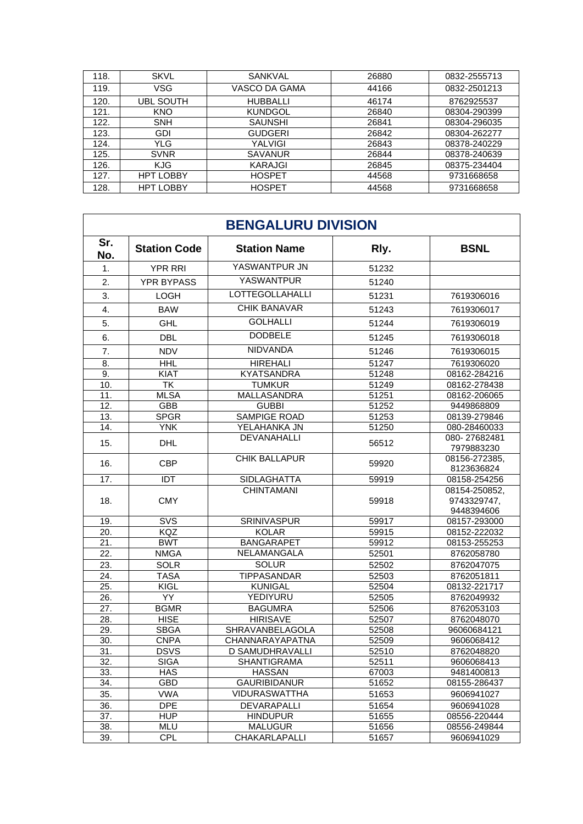| 118. | <b>SKVL</b>      | <b>SANKVAL</b>  | 26880 | 0832-2555713 |
|------|------------------|-----------------|-------|--------------|
| 119. | VSG              | VASCO DA GAMA   | 44166 | 0832-2501213 |
| 120. | UBL SOUTH        | <b>HUBBALLI</b> | 46174 | 8762925537   |
| 121. | <b>KNO</b>       | <b>KUNDGOL</b>  | 26840 | 08304-290399 |
| 122. | <b>SNH</b>       | <b>SAUNSHI</b>  | 26841 | 08304-296035 |
| 123. | GDI              | <b>GUDGERI</b>  | 26842 | 08304-262277 |
| 124. | YLG              | YALVIGI         | 26843 | 08378-240229 |
| 125. | <b>SVNR</b>      | <b>SAVANUR</b>  | 26844 | 08378-240639 |
| 126. | <b>KJG</b>       | KARAJGI         | 26845 | 08375-234404 |
| 127. | <b>HPT LOBBY</b> | <b>HOSPET</b>   | 44568 | 9731668658   |
| 128. | <b>HPT LOBBY</b> | <b>HOSPET</b>   | 44568 | 9731668658   |

| <b>BENGALURU DIVISION</b> |                     |                        |       |                             |
|---------------------------|---------------------|------------------------|-------|-----------------------------|
| Sr.<br>No.                | <b>Station Code</b> | <b>Station Name</b>    | Rly.  | <b>BSNL</b>                 |
| 1.                        | <b>YPR RRI</b>      | YASWANTPUR JN          | 51232 |                             |
| 2.                        | <b>YPR BYPASS</b>   | <b>YASWANTPUR</b>      | 51240 |                             |
| 3.                        | LOGH                | <b>LOTTEGOLLAHALLI</b> | 51231 | 7619306016                  |
| 4.                        | <b>BAW</b>          | <b>CHIK BANAVAR</b>    | 51243 | 7619306017                  |
|                           |                     | <b>GOLHALLI</b>        |       |                             |
| 5.                        | <b>GHL</b>          |                        | 51244 | 7619306019                  |
| 6.                        | <b>DBL</b>          | <b>DODBELE</b>         | 51245 | 7619306018                  |
| 7.                        | <b>NDV</b>          | <b>NIDVANDA</b>        | 51246 | 7619306015                  |
| 8.                        | <b>HHL</b>          | <b>HIREHALI</b>        | 51247 | 7619306020                  |
| 9.                        | <b>KIAT</b>         | <b>KYATSANDRA</b>      | 51248 | 08162-284216                |
| 10.                       | TK                  | <b>TUMKUR</b>          | 51249 | 08162-278438                |
| 11.                       | <b>MLSA</b>         | MALLASANDRA            | 51251 | 08162-206065                |
| 12.                       | GBB                 | <b>GUBBI</b>           | 51252 | 9449868809                  |
| 13.                       | <b>SPGR</b>         | <b>SAMPIGE ROAD</b>    | 51253 | 08139-279846                |
| 14.                       | <b>YNK</b>          | YELAHANKA JN           | 51250 | 080-28460033                |
| 15.                       | <b>DHL</b>          | DEVANAHALLI            | 56512 | 080-27682481<br>7979883230  |
| 16.                       | <b>CBP</b>          | CHIK BALLAPUR          | 59920 | 08156-272385,<br>8123636824 |
| 17.                       | IDT                 | <b>SIDLAGHATTA</b>     | 59919 | 08158-254256                |
|                           |                     | <b>CHINTAMANI</b>      |       | 08154-250852,               |
| 18.                       | <b>CMY</b>          |                        | 59918 | 9743329747,                 |
|                           |                     |                        |       | 9448394606                  |
| 19.                       | SVS                 | SRINIVASPUR            | 59917 | 08157-293000                |
| 20.                       | <b>KQZ</b>          | <b>KOLAR</b>           | 59915 | 08152-222032                |
| 21.                       | <b>BWT</b>          | <b>BANGARAPET</b>      | 59912 | 08153-255253                |
| 22.                       | <b>NMGA</b>         | NELAMANGALA            | 52501 | 8762058780                  |
| 23.                       | <b>SOLR</b>         | <b>SOLUR</b>           | 52502 | 8762047075                  |
| 24.                       | TASA                | TIPPASANDAR            | 52503 | 8762051811                  |
| 25.                       | KIGL                | <b>KUNIGAL</b>         | 52504 | 08132-221717                |
| 26.                       | YY                  | YEDIYURU               | 52505 | 8762049932                  |
| 27.                       | <b>BGMR</b>         | <b>BAGUMRA</b>         | 52506 | 8762053103                  |
| 28.                       | <b>HISE</b>         | <b>HIRISAVE</b>        | 52507 | 8762048070                  |
| 29.                       | <b>SBGA</b>         | SHRAVANBELAGOLA        | 52508 | 96060684121                 |
| 30.                       | <b>CNPA</b>         | CHANNARAYAPATNA        | 52509 | 9606068412                  |
| $\overline{31}$ .         | <b>DSVS</b>         | <b>D SAMUDHRAVALLI</b> | 52510 | 8762048820                  |
| 32.                       | <b>SIGA</b>         | <b>SHANTIGRAMA</b>     | 52511 | 9606068413                  |
| 33.                       | <b>HAS</b>          | <b>HASSAN</b>          | 67003 | 9481400813                  |
| 34.                       | GBD                 | <b>GAURIBIDANUR</b>    | 51652 | 08155-286437                |
| 35.                       | <b>VWA</b>          | <b>VIDURASWATTHA</b>   | 51653 | 9606941027                  |
| 36.                       | <b>DPE</b>          | DEVARAPALLI            | 51654 | 9606941028                  |
| 37.                       | <b>HUP</b>          | <b>HINDUPUR</b>        | 51655 | 08556-220444                |
| 38.                       | MLU                 | <b>MALUGUR</b>         | 51656 | 08556-249844                |
| 39.                       | <b>CPL</b>          | CHAKARLAPALLI          | 51657 | 9606941029                  |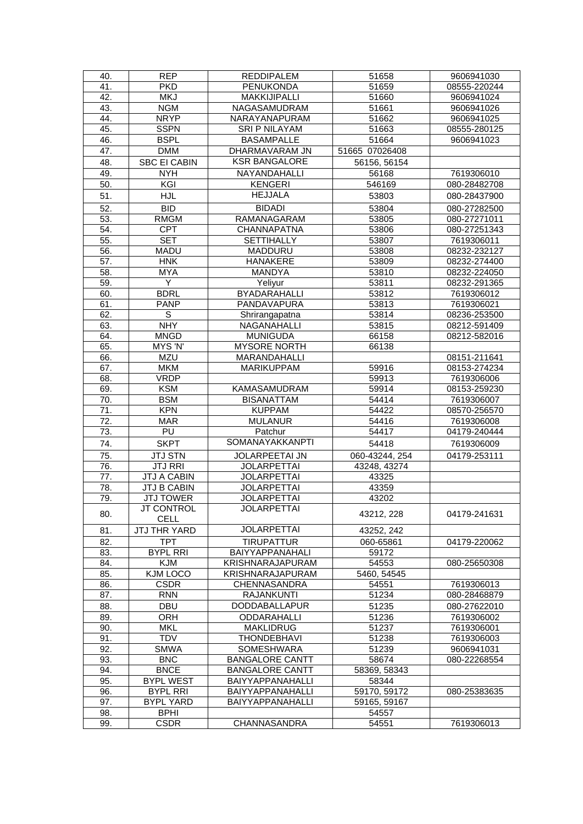| 40.             | <b>REP</b>                       | <b>REDDIPALEM</b>       | 51658          | 9606941030   |
|-----------------|----------------------------------|-------------------------|----------------|--------------|
| 41.             | <b>PKD</b>                       | <b>PENUKONDA</b>        | 51659          | 08555-220244 |
| 42.             | <b>MKJ</b>                       | MAKKIJIPALLI            | 51660          | 9606941024   |
| 43.             | <b>NGM</b>                       | NAGASAMUDRAM            | 51661          | 9606941026   |
| 44.             | <b>NRYP</b>                      | NARAYANAPURAM           | 51662          | 9606941025   |
| 45.             | <b>SSPN</b>                      | SRI P NILAYAM           | 51663          | 08555-280125 |
| 46.             | <b>BSPL</b>                      | <b>BASAMPALLE</b>       | 51664          | 9606941023   |
| 47.             | <b>DMM</b>                       | DHARMAVARAM JN          | 51665 07026408 |              |
| 48.             | <b>SBC EI CABIN</b>              | <b>KSR BANGALORE</b>    | 56156, 56154   |              |
| 49.             | <b>NYH</b>                       | NAYANDAHALLI            |                | 7619306010   |
|                 | KGI                              | <b>KENGERI</b>          | 56168          |              |
| 50.             |                                  |                         | 546169         | 080-28482708 |
| 51.             | <b>HJL</b>                       | <b>HEJJALA</b>          | 53803          | 080-28437900 |
| 52.             | $\overline{B}$ <sub>D</sub>      | <b>BIDADI</b>           | 53804          | 080-27282500 |
| 53.             | <b>RMGM</b>                      | RAMANAGARAM             | 53805          | 080-27271011 |
| 54.             | <b>CPT</b>                       | <b>CHANNAPATNA</b>      | 53806          | 080-27251343 |
| 55.             | <b>SET</b>                       | <b>SETTIHALLY</b>       | 53807          | 7619306011   |
| 56.             | <b>MADU</b>                      | MADDURU                 | 53808          | 08232-232127 |
| 57.             | <b>HNK</b>                       | <b>HANAKERE</b>         | 53809          | 08232-274400 |
| 58.             | <b>MYA</b>                       | <b>MANDYA</b>           | 53810          | 08232-224050 |
| 59.             | Y                                | Yeliyur                 | 53811          | 08232-291365 |
| 60.             | <b>BDRL</b>                      | <b>BYADARAHALLI</b>     | 53812          | 7619306012   |
| 61.             | <b>PANP</b>                      | PANDAVAPURA             | 53813          | 7619306021   |
| 62.             | $\mathbb S$                      | Shrirangapatna          | 53814          | 08236-253500 |
| 63.             | <b>NHY</b>                       | NAGANAHALLI             | 53815          | 08212-591409 |
| 64.             | <b>MNGD</b>                      | <b>MUNIGUDA</b>         | 66158          | 08212-582016 |
| 65.             | MYS 'N'                          | <b>MYSORE NORTH</b>     | 66138          |              |
| 66.             | <b>MZU</b>                       | MARANDAHALLI            |                | 08151-211641 |
| 67.             | <b>MKM</b>                       | <b>MARIKUPPAM</b>       | 59916          | 08153-274234 |
| 68.             | <b>VRDP</b>                      |                         | 59913          | 7619306006   |
| 69.             | <b>KSM</b>                       | KAMASAMUDRAM            | 59914          | 08153-259230 |
| 70.             | <b>BSM</b>                       | <b>BISANATTAM</b>       | 54414          | 7619306007   |
| $\overline{71}$ | <b>KPN</b>                       | <b>KUPPAM</b>           | 54422          | 08570-256570 |
| 72.             | <b>MAR</b>                       | <b>MULANUR</b>          | 54416          | 7619306008   |
| 73.             | $\overline{PU}$                  | Patchur                 | 54417          | 04179-240444 |
| 74.             | <b>SKPT</b>                      | SOMANAYAKKANPTI         | 54418          | 7619306009   |
|                 |                                  |                         |                |              |
| 75.             | <b>JTJ STN</b><br><b>JTJ RRI</b> | <b>JOLARPEETAI JN</b>   | 060-43244, 254 | 04179-253111 |
| 76.             |                                  | <b>JOLARPETTAI</b>      | 43248, 43274   |              |
| 77.             | <b>JTJ A CABIN</b>               | <b>JOLARPETTAI</b>      | 43325          |              |
| 78.             | JTJ B CABIN                      | <b>JOLARPETTAI</b>      | 43359          |              |
| 79.             | <b>JTJ TOWER</b>                 | <b>JOLARPETTAI</b>      | 43202          |              |
| 80.             | <b>JT CONTROL</b>                | <b>JOLARPETTAI</b>      | 43212, 228     | 04179-241631 |
|                 | <b>CELL</b>                      |                         |                |              |
| 81.             | <b>JTJ THR YARD</b>              | <b>JOLARPETTAI</b>      | 43252, 242     |              |
| 82.             | <b>TPT</b>                       | <b>TIRUPATTUR</b>       | 060-65861      | 04179-220062 |
| 83.             | <b>BYPL RRI</b>                  | <b>BAIYYAPPANAHALI</b>  | 59172          |              |
| 84.             | <b>KJM</b>                       | <b>KRISHNARAJAPURAM</b> | 54553          | 080-25650308 |
| 85.             | KJM LOCO                         | <b>KRISHNARAJAPURAM</b> | 5460, 54545    |              |
| 86.             | <b>CSDR</b>                      | CHENNASANDRA            | 54551          | 7619306013   |
| 87.             | <b>RNN</b>                       | <b>RAJANKUNTI</b>       | 51234          | 080-28468879 |
| 88.             | <b>DBU</b>                       | <b>DODDABALLAPUR</b>    | 51235          | 080-27622010 |
| 89.             | ORH                              | ODDARAHALLI             | 51236          | 7619306002   |
| 90.             | <b>MKL</b>                       | <b>MAKLIDRUG</b>        | 51237          | 7619306001   |
| 91.             | <b>TDV</b>                       | <b>THONDEBHAVI</b>      | 51238          | 7619306003   |
| 92.             | <b>SMWA</b>                      | SOMESHWARA              | 51239          | 9606941031   |
| 93.             | <b>BNC</b>                       | <b>BANGALORE CANTT</b>  | 58674          | 080-22268554 |
| 94.             | <b>BNCE</b>                      | <b>BANGALORE CANTT</b>  | 58369, 58343   |              |
| 95.             | <b>BYPL WEST</b>                 | BAIYYAPPANAHALLI        | 58344          |              |
| 96.             | <b>BYPL RRI</b>                  | <b>BAIYYAPPANAHALLI</b> | 59170, 59172   | 080-25383635 |
| 97.             | <b>BYPL YARD</b>                 | BAIYYAPPANAHALLI        | 59165, 59167   |              |
| 98.             | <b>BPHI</b>                      |                         | 54557          |              |
| 99.             | <b>CSDR</b>                      | <b>CHANNASANDRA</b>     | 54551          | 7619306013   |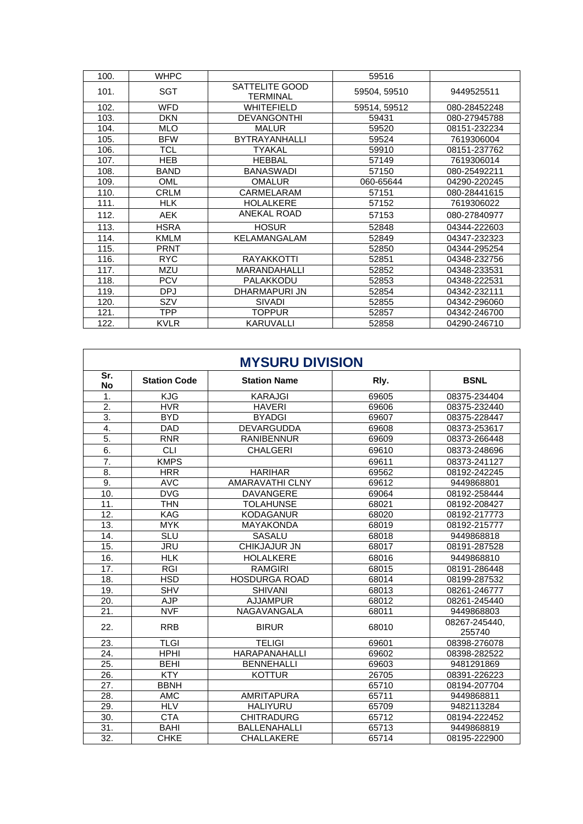| 100. | <b>WHPC</b> |                                   | 59516        |              |
|------|-------------|-----------------------------------|--------------|--------------|
| 101. | <b>SGT</b>  | SATTELITE GOOD<br><b>TERMINAL</b> | 59504, 59510 | 9449525511   |
| 102. | <b>WFD</b>  | <b>WHITEFIELD</b>                 | 59514, 59512 | 080-28452248 |
| 103. | <b>DKN</b>  | <b>DEVANGONTHI</b>                | 59431        | 080-27945788 |
| 104. | <b>MLO</b>  | <b>MALUR</b>                      | 59520        | 08151-232234 |
| 105. | <b>BFW</b>  | <b>BYTRAYANHALLI</b>              | 59524        | 7619306004   |
| 106. | <b>TCL</b>  | TYAKAL                            | 59910        | 08151-237762 |
| 107. | <b>HEB</b>  | <b>HEBBAL</b>                     | 57149        | 7619306014   |
| 108. | <b>BAND</b> | <b>BANASWADI</b>                  | 57150        | 080-25492211 |
| 109. | OML         | <b>OMALUR</b>                     | 060-65644    | 04290-220245 |
| 110. | <b>CRLM</b> | CARMELARAM                        | 57151        | 080-28441615 |
| 111. | <b>HLK</b>  | <b>HOLALKERE</b>                  | 57152        | 7619306022   |
| 112. | <b>AEK</b>  | ANEKAL ROAD                       | 57153        | 080-27840977 |
| 113. | <b>HSRA</b> | <b>HOSUR</b>                      | 52848        | 04344-222603 |
| 114. | <b>KMLM</b> | KELAMANGALAM                      | 52849        | 04347-232323 |
| 115. | <b>PRNT</b> |                                   | 52850        | 04344-295254 |
| 116. | <b>RYC</b>  | RAYAKKOTTI                        | 52851        | 04348-232756 |
| 117. | <b>MZU</b>  | MARANDAHALLI                      | 52852        | 04348-233531 |
| 118. | <b>PCV</b>  | PALAKKODU                         | 52853        | 04348-222531 |
| 119. | <b>DPJ</b>  | DHARMAPURI JN                     | 52854        | 04342-232111 |
| 120. | SZV         | <b>SIVADI</b>                     | 52855        | 04342-296060 |
| 121. | <b>TPP</b>  | TOPPUR                            | 52857        | 04342-246700 |
| 122. | <b>KVLR</b> | KARUVALLI                         | 52858        | 04290-246710 |

| <b>MYSURU DIVISION</b> |                     |                        |       |                         |
|------------------------|---------------------|------------------------|-------|-------------------------|
| Sr.<br><b>No</b>       | <b>Station Code</b> | <b>Station Name</b>    | Rly.  | <b>BSNL</b>             |
| 1.                     | <b>KJG</b>          | <b>KARAJGI</b>         | 69605 | 08375-234404            |
| $\overline{2}$ .       | <b>HVR</b>          | <b>HAVERI</b>          | 69606 | 08375-232440            |
| $\overline{3}$ .       | <b>BYD</b>          | <b>BYADGI</b>          | 69607 | 08375-228447            |
| 4.                     | <b>DAD</b>          | DEVARGUDDA             | 69608 | 08373-253617            |
| $\overline{5}$ .       | <b>RNR</b>          | <b>RANIBENNUR</b>      | 69609 | 08373-266448            |
| 6.                     | <b>CLI</b>          | <b>CHALGERI</b>        | 69610 | 08373-248696            |
| 7.                     | <b>KMPS</b>         |                        | 69611 | 08373-241127            |
| $\overline{8}$ .       | <b>HRR</b>          | <b>HARIHAR</b>         | 69562 | 08192-242245            |
| 9.                     | <b>AVC</b>          | <b>AMARAVATHI CLNY</b> | 69612 | 9449868801              |
| 10.                    | <b>DVG</b>          | <b>DAVANGERE</b>       | 69064 | 08192-258444            |
| 11.                    | <b>THN</b>          | <b>TOLAHUNSE</b>       | 68021 | 08192-208427            |
| 12.                    | <b>KAG</b>          | <b>KODAGANUR</b>       | 68020 | 08192-217773            |
| 13.                    | <b>MYK</b>          | <b>MAYAKONDA</b>       | 68019 | 08192-215777            |
| 14.                    | <b>SLU</b>          | SASALU                 | 68018 | 9449868818              |
| 15.                    | <b>JRU</b>          | CHIKJAJUR JN           | 68017 | 08191-287528            |
| 16.                    | <b>HLK</b>          | <b>HOLALKERE</b>       | 68016 | 9449868810              |
| 17.                    | <b>RGI</b>          | <b>RAMGIRI</b>         | 68015 | 08191-286448            |
| 18.                    | <b>HSD</b>          | <b>HOSDURGA ROAD</b>   | 68014 | 08199-287532            |
| 19.                    | <b>SHV</b>          | <b>SHIVANI</b>         | 68013 | 08261-246777            |
| 20.                    | <b>AJP</b>          | <b>AJJAMPUR</b>        | 68012 | 08261-245440            |
| $\overline{21}$        | <b>NVF</b>          | NAGAVANGALA            | 68011 | 9449868803              |
| 22.                    | <b>RRB</b>          | <b>BIRUR</b>           | 68010 | 08267-245440,<br>255740 |
| $\overline{23}$ .      | <b>TLGI</b>         | <b>TELIGI</b>          | 69601 | 08398-276078            |
| 24.                    | <b>HPHI</b>         | <b>HARAPANAHALLI</b>   | 69602 | 08398-282522            |
| $\overline{25}$ .      | <b>BEHI</b>         | <b>BENNEHALLI</b>      | 69603 | 9481291869              |
| 26.                    | <b>KTY</b>          | <b>KOTTUR</b>          | 26705 | 08391-226223            |
| 27.                    | <b>BBNH</b>         |                        | 65710 | 08194-207704            |
| 28.                    | <b>AMC</b>          | <b>AMRITAPURA</b>      | 65711 | 9449868811              |
| 29.                    | <b>HLV</b>          | <b>HALIYURU</b>        | 65709 | 9482113284              |
| 30.                    | <b>CTA</b>          | <b>CHITRADURG</b>      | 65712 | 08194-222452            |
| 31.                    | <b>BAHI</b>         | <b>BALLENAHALLI</b>    | 65713 | 9449868819              |
| $\overline{32}$ .      | <b>CHKE</b>         | <b>CHALLAKERE</b>      | 65714 | 08195-222900            |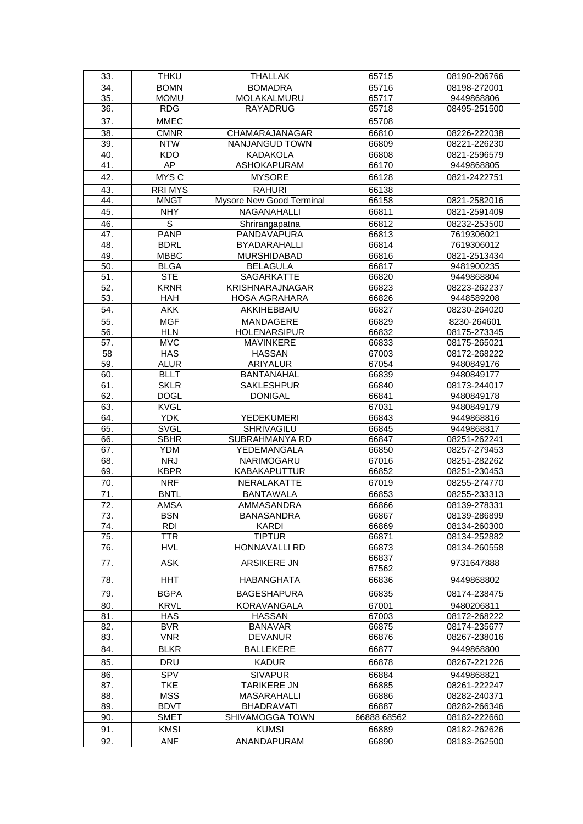| 33.        | <b>THKU</b>               | <b>THALLAK</b>                           | 65715          | 08190-206766                 |
|------------|---------------------------|------------------------------------------|----------------|------------------------------|
| 34.        | <b>BOMN</b>               | <b>BOMADRA</b>                           | 65716          | 08198-272001                 |
| 35.        | <b>MOMU</b>               | MOLAKALMURU                              | 65717          | 9449868806                   |
| 36.        | <b>RDG</b>                | <b>RAYADRUG</b>                          | 65718          | 08495-251500                 |
| 37.        | <b>MMEC</b>               |                                          | 65708          |                              |
| 38.        | <b>CMNR</b>               | CHAMARAJANAGAR                           | 66810          | 08226-222038                 |
| 39.        | <b>NTW</b>                | NANJANGUD TOWN                           | 66809          | 08221-226230                 |
| 40.        | <b>KDO</b>                | <b>KADAKOLA</b>                          | 66808          | 0821-2596579                 |
| 41.        | AP                        | ASHOKAPURAM                              | 66170          | 9449868805                   |
| 42.        | MYS C                     | <b>MYSORE</b>                            | 66128          | 0821-2422751                 |
| 43.        | <b>RRIMYS</b>             | <b>RAHURI</b>                            | 66138          |                              |
| 44.        | <b>MNGT</b>               | Mysore New Good Terminal                 | 66158          | 0821-2582016                 |
| 45.        | <b>NHY</b>                | <b>NAGANAHALLI</b>                       | 66811          | 0821-2591409                 |
| 46.        | $\mathsf S$               | Shrirangapatna                           | 66812          | 08232-253500                 |
| 47.        | <b>PANP</b>               | PANDAVAPURA                              | 66813          | 7619306021                   |
| 48.        | <b>BDRL</b>               | <b>BYADARAHALLI</b>                      | 66814          | 7619306012                   |
| 49.        | <b>MBBC</b>               | <b>MURSHIDABAD</b>                       | 66816          | 0821-2513434                 |
| 50.        | <b>BLGA</b>               | <b>BELAGULA</b>                          | 66817          | 9481900235                   |
| 51.        | <b>STE</b>                | SAGARKATTE                               | 66820          | 9449868804                   |
| 52.        | <b>KRNR</b>               | KRISHNARAJNAGAR                          | 66823          | 08223-262237                 |
| 53.        | <b>HAH</b>                | <b>HOSA AGRAHARA</b>                     | 66826          | 9448589208                   |
| 54.        | <b>AKK</b>                | AKKIHEBBAIU                              | 66827          | 08230-264020                 |
| 55.        | <b>MGF</b>                | <b>MANDAGERE</b>                         | 66829          | 8230-264601                  |
| 56.        | <b>HLN</b>                | <b>HOLENARSIPUR</b>                      | 66832          | 08175-273345                 |
| 57.        | <b>MVC</b>                | MAVINKERE                                | 66833          | 08175-265021                 |
| 58         | <b>HAS</b>                | <b>HASSAN</b>                            | 67003          | 08172-268222                 |
| 59.        | <b>ALUR</b>               | ARIYALUR                                 | 67054          | 9480849176                   |
| 60.        | <b>BLLT</b>               | <b>BANTANAHAL</b>                        | 66839          | 9480849177                   |
| 61.        | <b>SKLR</b>               | <b>SAKLESHPUR</b>                        | 66840          | 08173-244017                 |
| 62.        | <b>DOGL</b>               | <b>DONIGAL</b>                           | 66841          | 9480849178                   |
| 63.        | <b>KVGL</b>               |                                          | 67031          | 9480849179                   |
| 64.        | <b>YDK</b>                | <b>YEDEKUMERI</b>                        | 66843          | 9449868816                   |
| 65.        | <b>SVGL</b>               | SHRIVAGILU                               | 66845          | 9449868817                   |
| 66.        | <b>SBHR</b>               | SUBRAHMANYA RD                           | 66847          | 08251-262241                 |
| 67.        | <b>YDM</b>                | YEDEMANGALA                              | 66850          | 08257-279453                 |
| 68.        | <b>NRJ</b>                | NARIMOGARU                               | 67016          | 08251-282262                 |
| 69.        | <b>KBPR</b>               | <b>KABAKAPUTTUR</b>                      | 66852          | 08251-230453                 |
| 70.        | <b>NRF</b>                | <b>NERALAKATTE</b>                       | 67019          | 08255-274770                 |
| 71.        | <b>BNTL</b>               | <b>BANTAWALA</b><br><b>AMMASANDRA</b>    | 66853          | 08255-233313                 |
| 72.<br>73. | <b>AMSA</b><br><b>BSN</b> | <b>BANASANDRA</b>                        | 66866<br>66867 | 08139-278331                 |
| 74.        | <b>RDI</b>                | <b>KARDI</b>                             | 66869          | 08139-286899<br>08134-260300 |
| 75.        | <b>TTR</b>                | <b>TIPTUR</b>                            | 66871          | 08134-252882                 |
| 76.        | <b>HVL</b>                | <b>HONNAVALLI RD</b>                     | 66873          | 08134-260558                 |
|            |                           |                                          | 66837          |                              |
| 77.        | <b>ASK</b>                | ARSIKERE JN                              | 67562          | 9731647888                   |
| 78.        | <b>HHT</b>                | <b>HABANGHATA</b>                        | 66836          | 9449868802                   |
| 79.        | <b>BGPA</b>               | <b>BAGESHAPURA</b>                       | 66835          | 08174-238475                 |
| 80.        | <b>KRVL</b>               | KORAVANGALA                              | 67001          | 9480206811                   |
| 81.        | <b>HAS</b>                | <b>HASSAN</b>                            | 67003          | 08172-268222                 |
| 82.        | <b>BVR</b>                | <b>BANAVAR</b>                           | 66875          | 08174-235677                 |
| 83.        | <b>VNR</b>                | <b>DEVANUR</b>                           | 66876          | 08267-238016                 |
| 84.        | <b>BLKR</b>               | <b>BALLEKERE</b>                         | 66877          | 9449868800                   |
| 85.        | <b>DRU</b>                | <b>KADUR</b>                             | 66878          | 08267-221226                 |
|            |                           |                                          |                |                              |
| 86.        | SPV<br><b>TKE</b>         | <b>SIVAPUR</b>                           | 66884          | 9449868821                   |
| 87.<br>88. | <b>MSS</b>                | <b>TARIKERE JN</b><br><b>MASARAHALLI</b> | 66885<br>66886 | 08261-222247<br>08282-240371 |
| 89.        | <b>BDVT</b>               | <b>BHADRAVATI</b>                        | 66887          | 08282-266346                 |
| 90.        | <b>SMET</b>               | SHIVAMOGGA TOWN                          | 66888 68562    | 08182-222660                 |
| 91.        | <b>KMSI</b>               | <b>KUMSI</b>                             | 66889          | 08182-262626                 |
| 92.        | <b>ANF</b>                | ANANDAPURAM                              | 66890          | 08183-262500                 |
|            |                           |                                          |                |                              |